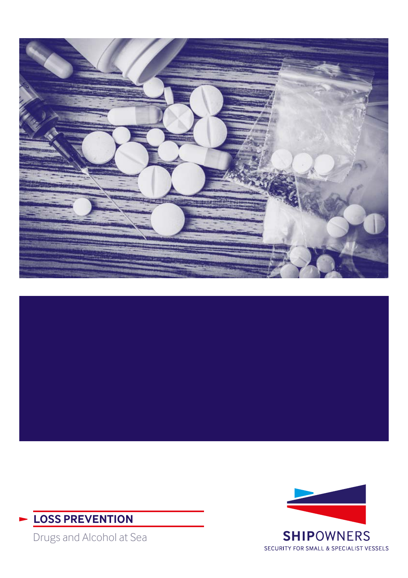





Drugs and Alcohol at Sea

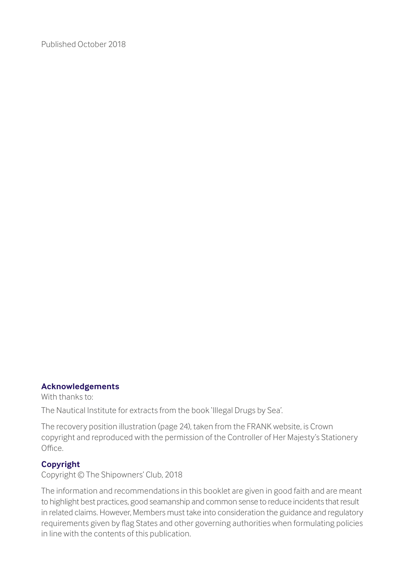Published October 2018

### **Acknowledgements**

With thanks to:

The Nautical Institute for extracts from the book 'Illegal Drugs by Sea'.

The recovery position illustration (page 24), taken from the FRANK website, is Crown copyright and reproduced with the permission of the Controller of Her Majesty's Stationery Office.

### **Copyright**

Copyright © The Shipowners' Club, 2018

The information and recommendations in this booklet are given in good faith and are meant to highlight best practices, good seamanship and common sense to reduce incidents that result in related claims. However, Members must take into consideration the guidance and regulatory requirements given by flag States and other governing authorities when formulating policies in line with the contents of this publication.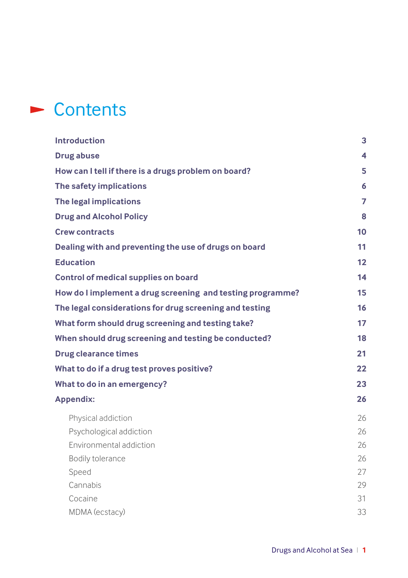## ► Contents

| <b>Introduction</b>                                        | 3  |
|------------------------------------------------------------|----|
| <b>Drug abuse</b>                                          | 4  |
| How can I tell if there is a drugs problem on board?       | 5  |
| The safety implications                                    | 6  |
| The legal implications                                     | 7  |
| <b>Drug and Alcohol Policy</b>                             | 8  |
| <b>Crew contracts</b>                                      | 10 |
| Dealing with and preventing the use of drugs on board      | 11 |
| <b>Education</b>                                           | 12 |
| Control of medical supplies on board                       | 14 |
| How do I implement a drug screening and testing programme? | 15 |
| The legal considerations for drug screening and testing    | 16 |
| What form should drug screening and testing take?          | 17 |
| When should drug screening and testing be conducted?       | 18 |
| <b>Drug clearance times</b>                                | 21 |
| What to do if a drug test proves positive?                 | 22 |
| What to do in an emergency?                                | 23 |
| <b>Appendix:</b>                                           | 26 |
| Physical addiction                                         | 26 |
| Psychological addiction                                    | 26 |
| Environmental addiction                                    | 26 |
| Bodily tolerance                                           | 26 |
| Speed                                                      | 27 |
| Cannabis                                                   | 29 |
| Cocaine                                                    | 31 |
| MDMA (ecstacy)                                             | 33 |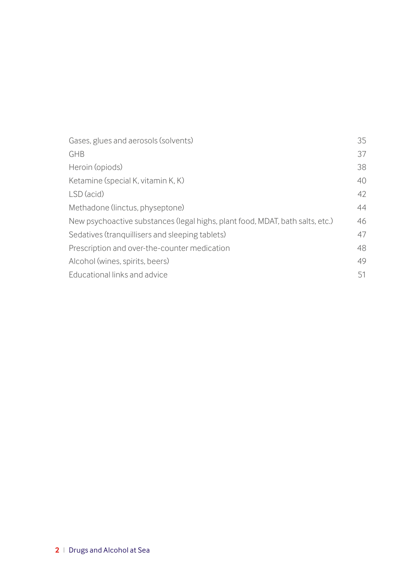| Gases, glues and aerosols (solvents)                                          | 35 |
|-------------------------------------------------------------------------------|----|
| GHB                                                                           | 37 |
| Heroin (opiods)                                                               | 38 |
| Ketamine (special K, vitamin K, K)                                            | 40 |
| LSD (acid)                                                                    | 42 |
| Methadone (linctus, physeptone)                                               | 44 |
| New psychoactive substances (legal highs, plant food, MDAT, bath salts, etc.) | 46 |
| Sedatives (tranguillisers and sleeping tablets)                               | 47 |
| Prescription and over-the-counter medication                                  | 48 |
| Alcohol (wines, spirits, beers)                                               | 49 |
| Educational links and advice                                                  | 51 |
|                                                                               |    |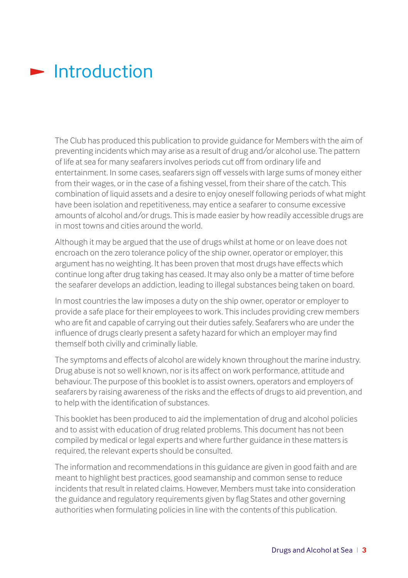### <span id="page-4-0"></span> $\blacktriangleright$  Introduction

The Club has produced this publication to provide guidance for Members with the aim of preventing incidents which may arise as a result of drug and/or alcohol use. The pattern of life at sea for many seafarers involves periods cut off from ordinary life and entertainment. In some cases, seafarers sign off vessels with large sums of money either from their wages, or in the case of a fishing vessel, from their share of the catch. This combination of liquid assets and a desire to enjoy oneself following periods of what might have been isolation and repetitiveness, may entice a seafarer to consume excessive amounts of alcohol and/or drugs. This is made easier by how readily accessible drugs are in most towns and cities around the world.

Although it may be argued that the use of drugs whilst at home or on leave does not encroach on the zero tolerance policy of the ship owner, operator or employer, this argument has no weighting. It has been proven that most drugs have effects which continue long after drug taking has ceased. It may also only be a matter of time before the seafarer develops an addiction, leading to illegal substances being taken on board.

In most countries the law imposes a duty on the ship owner, operator or employer to provide a safe place for their employees to work. This includes providing crew members who are fit and capable of carrying out their duties safely. Seafarers who are under the influence of drugs clearly present a safety hazard for which an employer may find themself both civilly and criminally liable.

The symptoms and effects of alcohol are widely known throughout the marine industry. Drug abuse is not so well known, nor is its affect on work performance, attitude and behaviour. The purpose of this booklet is to assist owners, operators and employers of seafarers by raising awareness of the risks and the effects of drugs to aid prevention, and to help with the identification of substances.

This booklet has been produced to aid the implementation of drug and alcohol policies and to assist with education of drug related problems. This document has not been compiled by medical or legal experts and where further guidance in these matters is required, the relevant experts should be consulted.

The information and recommendations in this guidance are given in good faith and are meant to highlight best practices, good seamanship and common sense to reduce incidents that result in related claims. However, Members must take into consideration the guidance and regulatory requirements given by flag States and other governing authorities when formulating policies in line with the contents of this publication.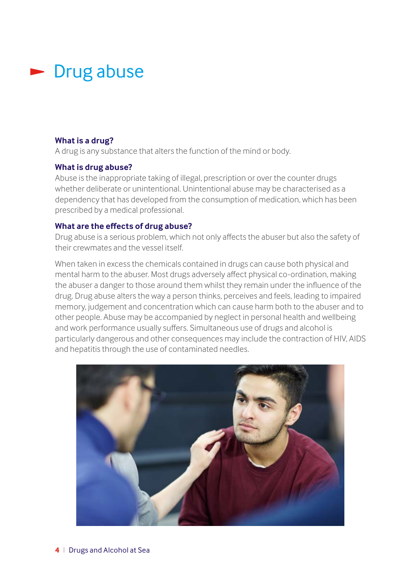### <span id="page-5-0"></span> $\blacktriangleright$  Drug abuse

### **What is a drug?**

A drug is any substance that alters the function of the mind or body.

### **What is drug abuse?**

Abuse is the inappropriate taking of illegal, prescription or over the counter drugs whether deliberate or unintentional. Unintentional abuse may be characterised as a dependency that has developed from the consumption of medication, which has been prescribed by a medical professional.

### **What are the effects of drug abuse?**

Drug abuse is a serious problem, which not only affects the abuser but also the safety of their crewmates and the vessel itself.

When taken in excess the chemicals contained in drugs can cause both physical and mental harm to the abuser. Most drugs adversely affect physical co-ordination, making the abuser a danger to those around them whilst they remain under the influence of the drug. Drug abuse alters the way a person thinks, perceives and feels, leading to impaired memory, judgement and concentration which can cause harm both to the abuser and to other people. Abuse may be accompanied by neglect in personal health and wellbeing and work performance usually suffers. Simultaneous use of drugs and alcohol is particularly dangerous and other consequences may include the contraction of HIV, AIDS and hepatitis through the use of contaminated needles.

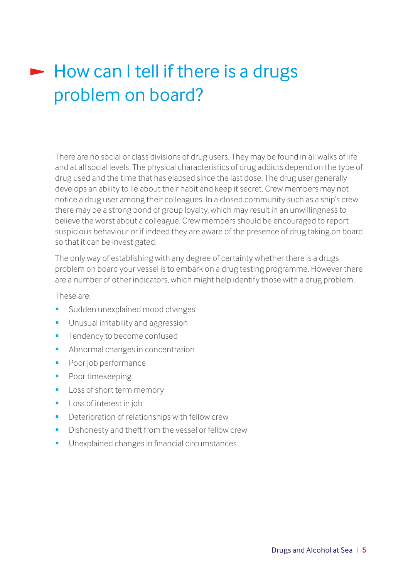# $\blacktriangleright$  How can I tell if there is a drugs problem on board?

There are no social or class divisions of drug users. They may be found in all walks of life and at all social levels. The physical characteristics of drug addicts depend on the type of drug used and the time that has elapsed since the last dose. The drug user generally develops an ability to lie about their habit and keep it secret. Crew members may not notice a drug user among their colleagues. In a closed community such as a ship's crew there may be a strong bond of group loyalty, which may result in an unwillingness to believe the worst about a colleague. Crew members should be encouraged to report suspicious behaviour or if indeed they are aware of the presence of drug taking on board so that it can be investigated.

The only way of establishing with any degree of certainty whether there is a drugs problem on board your vessel is to embark on a drug testing programme. However there are a number of other indicators, which might help identify those with a drug problem.

These are:

- Sudden unexplained mood changes
- **Unusual irritability and aggression**
- **Tendency to become confused**
- **Abnormal changes in concentration**
- **Poor job performance**
- Poor timekeeping
- **Loss of short term memory**
- **Loss of interest in job**
- **Deterioration of relationships with fellow crew**
- Dishonesty and theft from the vessel or fellow crew
- **Unexplained changes in financial circumstances**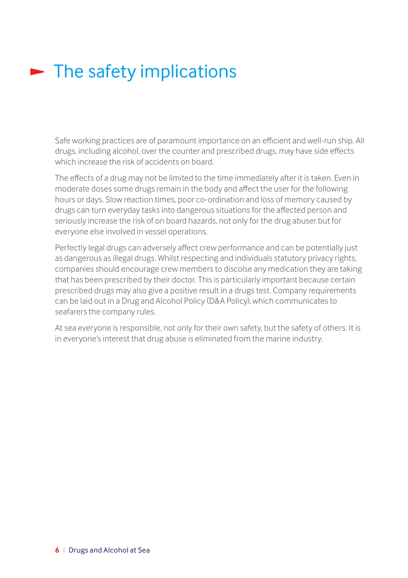# $\blacktriangleright$  The safety implications

Safe working practices are of paramount importance on an efficient and well-run ship. All drugs, including alcohol, over the counter and prescribed drugs, may have side effects which increase the risk of accidents on board.

The effects of a drug may not be limited to the time immediately after it is taken. Even in moderate doses some drugs remain in the body and affect the user for the following hours or days. Slow reaction times, poor co-ordination and loss of memory caused by drugs can turn everyday tasks into dangerous situations for the affected person and seriously increase the risk of on board hazards, not only for the drug abuser but for everyone else involved in vessel operations.

Perfectly legal drugs can adversely affect crew performance and can be potentially just as dangerous as illegal drugs. Whilst respecting and individuals statutory privacy rights, companies should encourage crew members to discolse any medication they are taking that has been prescribed by their doctor. This is particularly important because certain prescribed drugs may also give a positive result in a drugs test. Company requirements can be laid out in a Drug and Alcohol Policy (D&A Policy), which communicates to seafarers the company rules.

At sea everyone is responsible, not only for their own safety, but the safety of others. It is in everyone's interest that drug abuse is eliminated from the marine industry.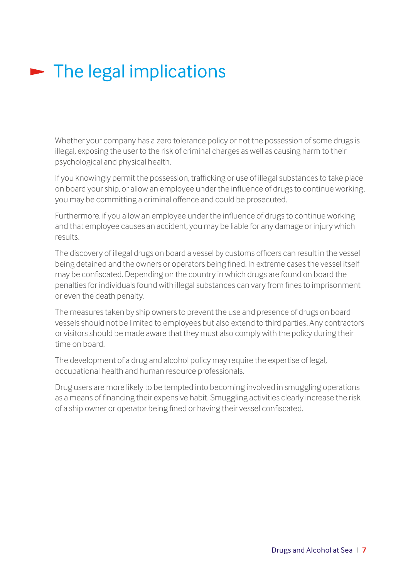# <span id="page-8-0"></span> $\blacktriangleright$  The legal implications

Whether your company has a zero tolerance policy or not the possession of some drugs is illegal, exposing the user to the risk of criminal charges as well as causing harm to their psychological and physical health.

If you knowingly permit the possession, trafficking or use of illegal substances to take place on board your ship, or allow an employee under the influence of drugs to continue working, you may be committing a criminal offence and could be prosecuted.

Furthermore, if you allow an employee under the influence of drugs to continue working and that employee causes an accident, you may be liable for any damage or injury which results.

The discovery of illegal drugs on board a vessel by customs officers can result in the vessel being detained and the owners or operators being fined. In extreme cases the vessel itself may be confiscated. Depending on the country in which drugs are found on board the penalties for individuals found with illegal substances can vary from fines to imprisonment or even the death penalty.

The measures taken by ship owners to prevent the use and presence of drugs on board vessels should not be limited to employees but also extend to third parties. Any contractors or visitors should be made aware that they must also comply with the policy during their time on board.

The development of a drug and alcohol policy may require the expertise of legal, occupational health and human resource professionals.

Drug users are more likely to be tempted into becoming involved in smuggling operations as a means of financing their expensive habit. Smuggling activities clearly increase the risk of a ship owner or operator being fined or having their vessel confiscated.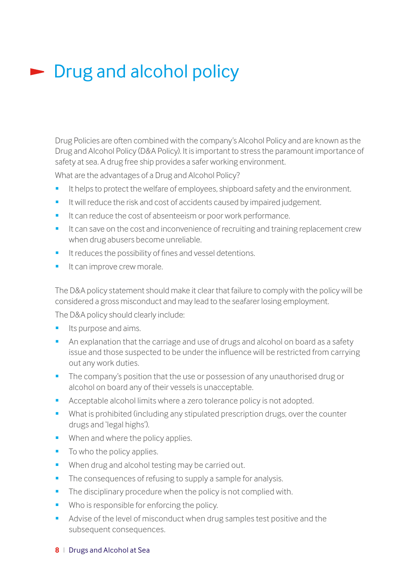## <span id="page-9-0"></span>**Drug and alcohol policy**

Drug Policies are often combined with the company's Alcohol Policy and are known as the Drug and Alcohol Policy (D&A Policy). It is important to stress the paramount importance of safety at sea. A drug free ship provides a safer working environment.

What are the advantages of a Drug and Alcohol Policy?

- It helps to protect the welfare of employees, shipboard safety and the environment.
- It will reduce the risk and cost of accidents caused by impaired judgement.
- It can reduce the cost of absenteeism or poor work performance.
- It can save on the cost and inconvenience of recruiting and training replacement crew when drug abusers become unreliable.
- **It reduces the possibility of fines and vessel detentions.**
- **It can improve crew morale.**

The D&A policy statement should make it clear that failure to comply with the policy will be considered a gross misconduct and may lead to the seafarer losing employment.

The D&A policy should clearly include:

- **Its purpose and aims.**
- An explanation that the carriage and use of drugs and alcohol on board as a safety issue and those suspected to be under the influence will be restricted from carrying out any work duties.
- **The company's position that the use or possession of any unauthorised drug or** alcohol on board any of their vessels is unacceptable.
- Acceptable alcohol limits where a zero tolerance policy is not adopted.
- What is prohibited (including any stipulated prescription drugs, over the counter drugs and 'legal highs').
- **When and where the policy applies.**
- To who the policy applies.
- When drug and alcohol testing may be carried out.
- The consequences of refusing to supply a sample for analysis.
- The disciplinary procedure when the policy is not complied with.
- Who is responsible for enforcing the policy.
- Advise of the level of misconduct when drug samples test positive and the subsequent consequences.

#### **8** I Drugs and Alcohol at Sea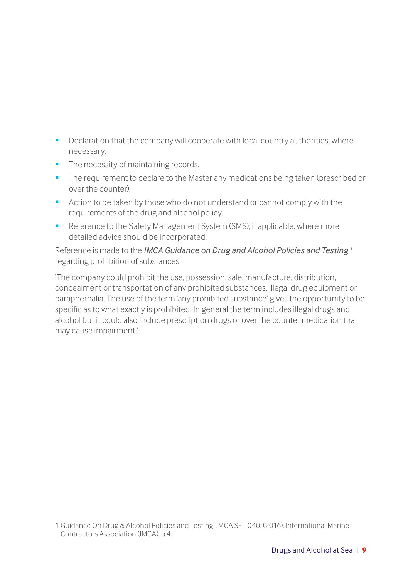- <span id="page-10-0"></span>Declaration that the company will cooperate with local country authorities, where necessary.
- The necessity of maintaining records.
- **The requirement to declare to the Master any medications being taken (prescribed or** over the counter).
- Action to be taken by those who do not understand or cannot comply with the requirements of the drug and alcohol policy.
- Reference to the Safety Management System (SMS), if applicable, where more detailed advice should be incorporated.

Reference is made to the *IMCA Guidance on Drug and Alcohol Policies and Testing 1* regarding prohibition of substances:

'The company could prohibit the use, possession, sale, manufacture, distribution, concealment or transportation of any prohibited substances, illegal drug equipment or paraphernalia. The use of the term 'any prohibited substance' gives the opportunity to be specific as to what exactly is prohibited. In general the term includes illegal drugs and alcohol but it could also include prescription drugs or over the counter medication that may cause impairment.'

1 Guidance On Drug & Alcohol Policies and Testing, IMCA SEL 040. (2016). International Marine Contractors Association (IMCA), p.4.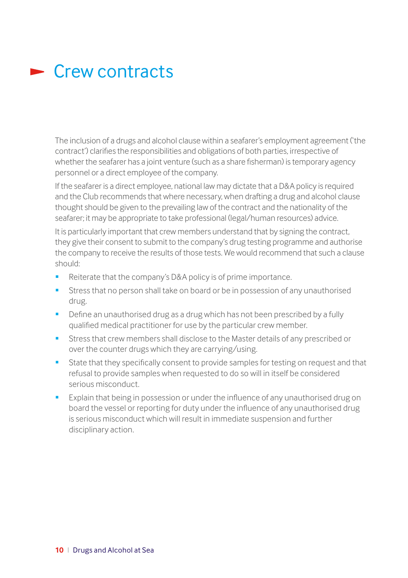### $\blacktriangleright$  Crew contracts

The inclusion of a drugs and alcohol clause within a seafarer's employment agreement ('the contract') clarifies the responsibilities and obligations of both parties, irrespective of whether the seafarer has a joint venture (such as a share fisherman) is temporary agency personnel or a direct employee of the company.

If the seafarer is a direct employee, national law may dictate that a D&A policy is required and the Club recommends that where necessary, when drafting a drug and alcohol clause thought should be given to the prevailing law of the contract and the nationality of the seafarer; it may be appropriate to take professional (legal/human resources) advice.

It is particularly important that crew members understand that by signing the contract, they give their consent to submit to the company's drug testing programme and authorise the company to receive the results of those tests. We would recommend that such a clause should:

- Reiterate that the company's D&A policy is of prime importance.
- Stress that no person shall take on board or be in possession of any unauthorised drug.
- **•** Define an unauthorised drug as a drug which has not been prescribed by a fully qualified medical practitioner for use by the particular crew member.
- Stress that crew members shall disclose to the Master details of any prescribed or over the counter drugs which they are carrying/using.
- State that they specifically consent to provide samples for testing on request and that refusal to provide samples when requested to do so will in itself be considered serious misconduct.
- Explain that being in possession or under the influence of any unauthorised drug on board the vessel or reporting for duty under the influence of any unauthorised drug is serious misconduct which will result in immediate suspension and further disciplinary action.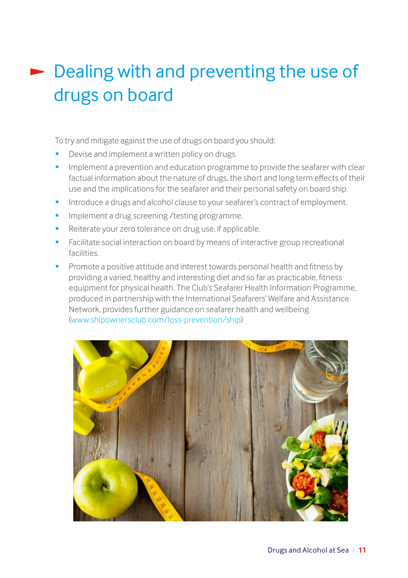# Dealing with and preventing the use of drugs on board

To try and mitigate against the use of drugs on board you should:

- Devise and implement a written policy on drugs.
- Implement a prevention and education programme to provide the seafarer with clear factual information about the nature of drugs, the short and long term effects of their use and the implications for the seafarer and their personal safety on board ship.
- Introduce a drugs and alcohol clause to your seafarer's contract of employment.
- Implement a drug screening /testing programme.
- Reiterate your zero tolerance on drug use, if applicable.
- Facilitate social interaction on board by means of interactive group recreational facilities.
- Promote a positive attitude and interest towards personal health and fitness by providing a varied, healthy and interesting diet and so far as practicable, fitness equipment for physical health. The Club's Seafarer Health Information Programme, produced in partnership with the International Seafarers' Welfare and Assistance Network, provides further guidance on seafarer health and wellbeing [\(www.shipownersclub.com/loss-prevention/ship\)](http://www.shipownersclub.com/loss-prevention/ship)

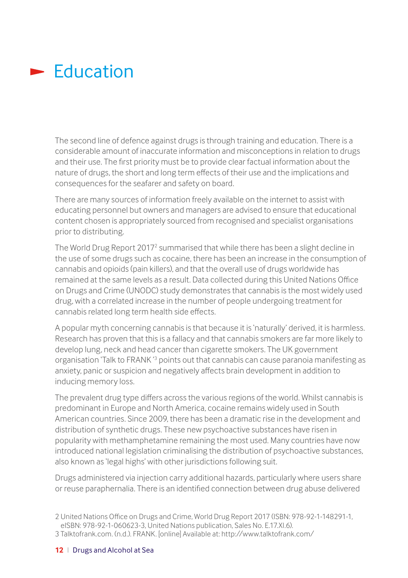### <span id="page-13-0"></span> $\blacktriangleright$  Education

The second line of defence against drugs is through training and education. There is a considerable amount of inaccurate information and misconceptions in relation to drugs and their use. The first priority must be to provide clear factual information about the nature of drugs, the short and long term effects of their use and the implications and consequences for the seafarer and safety on board.

There are many sources of information freely available on the internet to assist with educating personnel but owners and managers are advised to ensure that educational content chosen is appropriately sourced from recognised and specialist organisations prior to distributing.

The World Drug Report 2017<sup>2</sup> summarised that while there has been a slight decline in the use of some drugs such as cocaine, there has been an increase in the consumption of cannabis and opioids (pain killers), and that the overall use of drugs worldwide has remained at the same levels as a result. Data collected during this United Nations Office on Drugs and Crime (UNODC) study demonstrates that cannabis is the most widely used drug, with a correlated increase in the number of people undergoing treatment for cannabis related long term health side effects.

A popular myth concerning cannabis is that because it is 'naturally' derived, it is harmless. Research has proven that this is a fallacy and that cannabis smokers are far more likely to develop lung, neck and head cancer than cigarette smokers. The UK government organisation 'Talk to FRANK'<sup>3</sup> points out that cannabis can cause paranoia manifesting as anxiety, panic or suspicion and negatively affects brain development in addition to inducing memory loss.

The prevalent drug type differs across the various regions of the world. Whilst cannabis is predominant in Europe and North America, cocaine remains widely used in South American countries. Since 2009, there has been a dramatic rise in the development and distribution of synthetic drugs. These new psychoactive substances have risen in popularity with methamphetamine remaining the most used. Many countries have now introduced national legislation criminalising the distribution of psychoactive substances, also known as 'legal highs' with other jurisdictions following suit.

Drugs administered via injection carry additional hazards, particularly where users share or reuse paraphernalia. There is an identified connection between drug abuse delivered

2 United Nations Office on Drugs and Crime, World Drug Report 2017 (ISBN: 978-92-1-148291-1, eISBN: 978-92-1-060623-3, United Nations publication, Sales No. E.17.XI.6). 3 Talktofrank.com. (n.d.). FRANK. [online] Available at: http://www.talktofrank.com/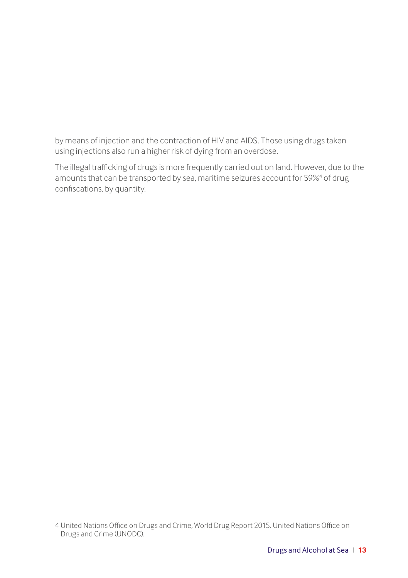<span id="page-14-0"></span>by means of injection and the contraction of HIV and AIDS. Those using drugs taken using injections also run a higher risk of dying from an overdose.

The illegal trafficking of drugs is more frequently carried out on land. However, due to the amounts that can be transported by sea, maritime seizures account for 59%<sup>4</sup> of drug confiscations, by quantity.

4 United Nations Office on Drugs and Crime, World Drug Report 2015. United Nations Office on Drugs and Crime (UNODC).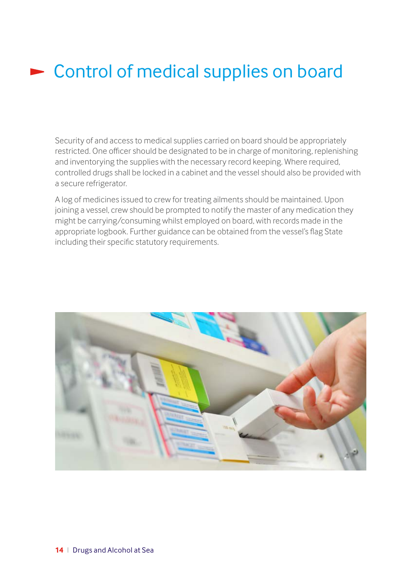## <span id="page-15-0"></span>**EX Control of medical supplies on board**

Security of and access to medical supplies carried on board should be appropriately restricted. One officer should be designated to be in charge of monitoring, replenishing and inventorying the supplies with the necessary record keeping. Where required, controlled drugs shall be locked in a cabinet and the vessel should also be provided with a secure refrigerator.

A log of medicines issued to crew for treating ailments should be maintained. Upon joining a vessel, crew should be prompted to notify the master of any medication they might be carrying/consuming whilst employed on board, with records made in the appropriate logbook. Further guidance can be obtained from the vessel's flag State including their specific statutory requirements.

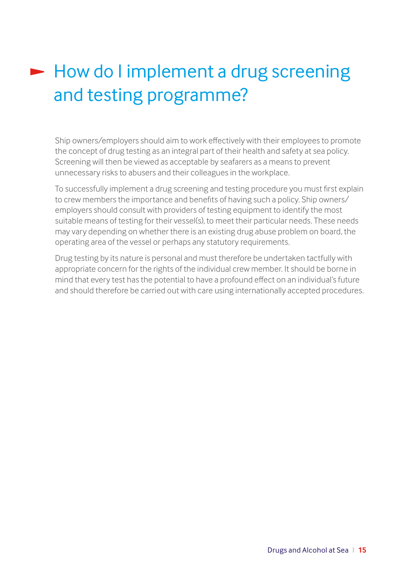# <span id="page-16-0"></span>How do I implement a drug screening and testing programme?

Ship owners/employers should aim to work effectively with their employees to promote the concept of drug testing as an integral part of their health and safety at sea policy. Screening will then be viewed as acceptable by seafarers as a means to prevent unnecessary risks to abusers and their colleagues in the workplace.

To successfully implement a drug screening and testing procedure you must first explain to crew members the importance and benefits of having such a policy. Ship owners/ employers should consult with providers of testing equipment to identify the most suitable means of testing for their vessel(s), to meet their particular needs. These needs may vary depending on whether there is an existing drug abuse problem on board, the operating area of the vessel or perhaps any statutory requirements.

Drug testing by its nature is personal and must therefore be undertaken tactfully with appropriate concern for the rights of the individual crew member. It should be borne in mind that every test has the potential to have a profound effect on an individual's future and should therefore be carried out with care using internationally accepted procedures.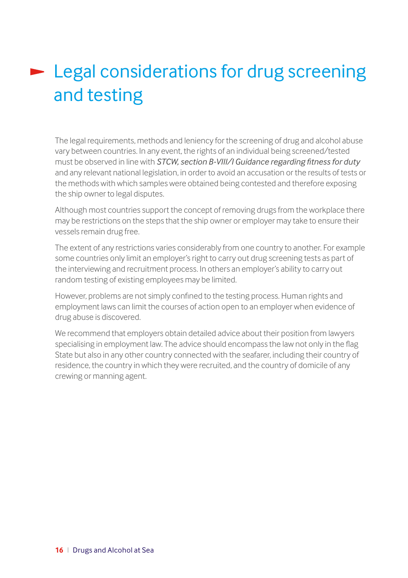# <span id="page-17-0"></span>**Legal considerations for drug screening** and testing

The legal requirements, methods and leniency for the screening of drug and alcohol abuse vary between countries. In any event, the rights of an individual being screened/tested must be observed in line with *STCW, section B-VIII/I Guidance regarding fitness for duty*  and any relevant national legislation, in order to avoid an accusation or the results of tests or the methods with which samples were obtained being contested and therefore exposing the ship owner to legal disputes.

Although most countries support the concept of removing drugs from the workplace there may be restrictions on the steps that the ship owner or employer may take to ensure their vessels remain drug free.

The extent of any restrictions varies considerably from one country to another. For example some countries only limit an employer's right to carry out drug screening tests as part of the interviewing and recruitment process. In others an employer's ability to carry out random testing of existing employees may be limited.

However, problems are not simply confined to the testing process. Human rights and employment laws can limit the courses of action open to an employer when evidence of drug abuse is discovered.

We recommend that employers obtain detailed advice about their position from lawyers specialising in employment law. The advice should encompass the law not only in the flag State but also in any other country connected with the seafarer, including their country of residence, the country in which they were recruited, and the country of domicile of any crewing or manning agent.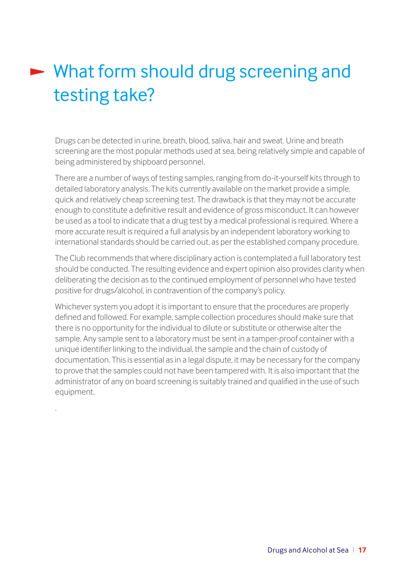# <span id="page-18-0"></span>► What form should drug screening and testing take?

Drugs can be detected in urine, breath, blood, saliva, hair and sweat. Urine and breath screening are the most popular methods used at sea, being relatively simple and capable of being administered by shipboard personnel.

There are a number of ways of testing samples, ranging from do-it-yourself kits through to detailed laboratory analysis. The kits currently available on the market provide a simple, quick and relatively cheap screening test. The drawback is that they may not be accurate enough to constitute a definitive result and evidence of gross misconduct. It can however be used as a tool to indicate that a drug test by a medical professional is required. Where a more accurate result is required a full analysis by an independent laboratory working to international standards should be carried out, as per the established company procedure.

The Club recommends that where disciplinary action is contemplated a full laboratory test should be conducted. The resulting evidence and expert opinion also provides clarity when deliberating the decision as to the continued employment of personnel who have tested positive for drugs/alcohol, in contravention of the company's policy.

Whichever system you adopt it is important to ensure that the procedures are properly defined and followed. For example, sample collection procedures should make sure that there is no opportunity for the individual to dilute or substitute or otherwise alter the sample. Any sample sent to a laboratory must be sent in a tamper-proof container with a unique identifier linking to the individual, the sample and the chain of custody of documentation. This is essential as in a legal dispute, it may be necessary for the company to prove that the samples could not have been tampered with. It is also important that the administrator of any on board screening is suitably trained and qualified in the use of such equipment.

.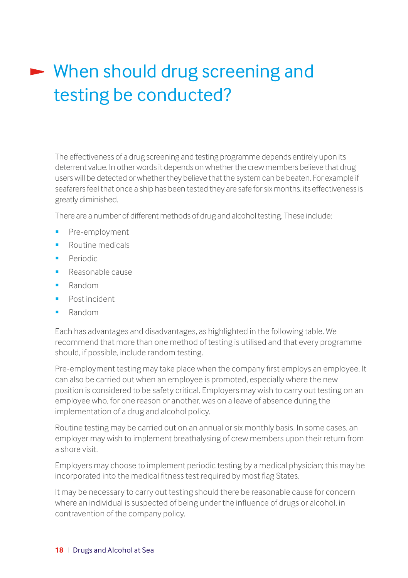# <span id="page-19-0"></span>When should drug screening and testing be conducted?

The effectiveness of a drug screening and testing programme depends entirely upon its deterrent value. In other words it depends on whether the crew members believe that drug users will be detected or whether they believe that the system can be beaten. For example if seafarers feel that once a ship has been tested they are safe for six months, its effectiveness is greatly diminished.

There are a number of different methods of drug and alcohol testing. These include:

- Pre-employment
- Routine medicals
- Periodic
- Reasonable cause
- Random
- Post incident
- Random

Each has advantages and disadvantages, as highlighted in the following table. We recommend that more than one method of testing is utilised and that every programme should, if possible, include random testing.

Pre-employment testing may take place when the company first employs an employee. It can also be carried out when an employee is promoted, especially where the new position is considered to be safety critical. Employers may wish to carry out testing on an employee who, for one reason or another, was on a leave of absence during the implementation of a drug and alcohol policy.

Routine testing may be carried out on an annual or six monthly basis. In some cases, an employer may wish to implement breathalysing of crew members upon their return from a shore visit.

Employers may choose to implement periodic testing by a medical physician; this may be incorporated into the medical fitness test required by most flag States.

It may be necessary to carry out testing should there be reasonable cause for concern where an individual is suspected of being under the influence of drugs or alcohol, in contravention of the company policy.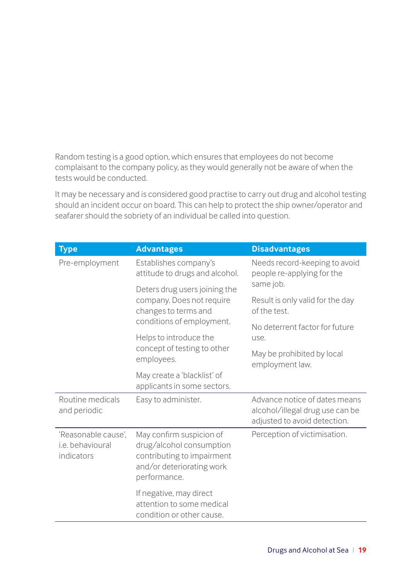Random testing is a good option, which ensures that employees do not become complaisant to the company policy, as they would generally not be aware of when the tests would be conducted.

It may be necessary and is considered good practise to carry out drug and alcohol testing should an incident occur on board. This can help to protect the ship owner/operator and seafarer should the sobriety of an individual be called into question.

| <b>Type</b>                                           | <b>Advantages</b>                                                                                                               | <b>Disadvantages</b>                                                                             |
|-------------------------------------------------------|---------------------------------------------------------------------------------------------------------------------------------|--------------------------------------------------------------------------------------------------|
| Pre-employment                                        | Establishes company's<br>attitude to drugs and alcohol.                                                                         | Needs record-keeping to avoid<br>people re-applying for the                                      |
|                                                       | Deters drug users joining the                                                                                                   | same job.                                                                                        |
|                                                       | company. Does not require<br>changes to terms and                                                                               | Result is only valid for the day<br>of the test.                                                 |
|                                                       | conditions of employment.<br>Helps to introduce the                                                                             | No deterrent factor for future<br>use.                                                           |
|                                                       | concept of testing to other<br>employees.                                                                                       | May be prohibited by local<br>employment law.                                                    |
|                                                       | May create a 'blacklist' of<br>applicants in some sectors.                                                                      |                                                                                                  |
| Routine medicals<br>and periodic                      | Easy to administer.                                                                                                             | Advance notice of dates means<br>alcohol/illegal drug use can be<br>adjusted to avoid detection. |
| 'Reasonable cause'.<br>i.e. behavioural<br>indicators | May confirm suspicion of<br>drug/alcohol consumption<br>contributing to impairment<br>and/or deteriorating work<br>performance. | Perception of victimisation.                                                                     |
|                                                       | If negative, may direct<br>attention to some medical<br>condition or other cause.                                               |                                                                                                  |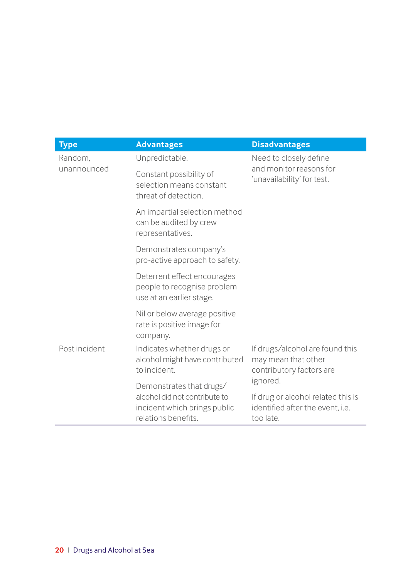| <b>Type</b>                                                                                   | <b>Advantages</b>                                                                                                | <b>Disadvantages</b>                                                                            |
|-----------------------------------------------------------------------------------------------|------------------------------------------------------------------------------------------------------------------|-------------------------------------------------------------------------------------------------|
| Random.                                                                                       | Unpredictable.                                                                                                   | Need to closely define                                                                          |
| unannounced                                                                                   | Constant possibility of<br>selection means constant<br>threat of detection.                                      | and monitor reasons for<br>'unavailability' for test.                                           |
|                                                                                               | An impartial selection method<br>can be audited by crew<br>representatives.                                      |                                                                                                 |
|                                                                                               | Demonstrates company's<br>pro-active approach to safety.                                                         |                                                                                                 |
|                                                                                               | Deterrent effect encourages<br>people to recognise problem<br>use at an earlier stage.                           |                                                                                                 |
|                                                                                               | Nil or below average positive<br>rate is positive image for<br>company.                                          |                                                                                                 |
| Post incident<br>Indicates whether drugs or<br>alcohol might have contributed<br>to incident. |                                                                                                                  | If drugs/alcohol are found this<br>may mean that other<br>contributory factors are              |
|                                                                                               | Demonstrates that drugs/<br>alcohol did not contribute to<br>incident which brings public<br>relations benefits. | ignored.<br>If drug or alcohol related this is<br>identified after the event. i.e.<br>too late. |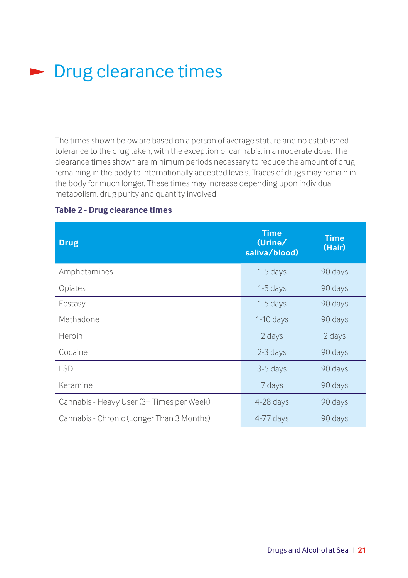## <span id="page-22-0"></span>**Drug clearance times**

The times shown below are based on a person of average stature and no established tolerance to the drug taken, with the exception of cannabis, in a moderate dose. The clearance times shown are minimum periods necessary to reduce the amount of drug remaining in the body to internationally accepted levels. Traces of drugs may remain in the body for much longer. These times may increase depending upon individual metabolism, drug purity and quantity involved.

| <b>Drug</b>                               | <b>Time</b><br>Urine/<br>saliva/blood) | <b>Time</b><br>(Hair) |
|-------------------------------------------|----------------------------------------|-----------------------|
| Amphetamines                              | $1-5$ days                             | 90 days               |
| Opiates                                   | $1-5$ days                             | 90 days               |
| Ecstasy                                   | $1-5$ days                             | 90 days               |
| Methadone                                 | $1-10$ days                            | 90 days               |
| Heroin                                    | 2 days                                 | 2 days                |
| Cocaine                                   | 2-3 days                               | 90 days               |
| <b>LSD</b>                                | 3-5 days                               | 90 days               |
| Ketamine                                  | 7 days                                 | 90 days               |
| Cannabis - Heavy User (3+ Times per Week) | $4-28$ days                            | 90 days               |
| Cannabis - Chronic (Longer Than 3 Months) | $4-77$ days                            | 90 days               |

### **Table 2 - Drug clearance times**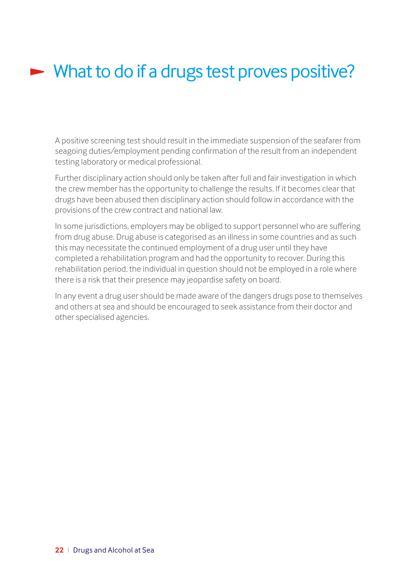## <span id="page-23-0"></span>What to do if a drugs test proves positive?

A positive screening test should result in the immediate suspension of the seafarer from seagoing duties/employment pending confirmation of the result from an independent testing laboratory or medical professional.

Further disciplinary action should only be taken after full and fair investigation in which the crew member has the opportunity to challenge the results. If it becomes clear that drugs have been abused then disciplinary action should follow in accordance with the provisions of the crew contract and national law.

In some jurisdictions, employers may be obliged to support personnel who are suffering from drug abuse. Drug abuse is categorised as an illness in some countries and as such this may necessitate the continued employment of a drug user until they have completed a rehabilitation program and had the opportunity to recover. During this rehabilitation period, the individual in question should not be employed in a role where there is a risk that their presence may jeopardise safety on board.

In any event a drug user should be made aware of the dangers drugs pose to themselves and others at sea and should be encouraged to seek assistance from their doctor and other specialised agencies.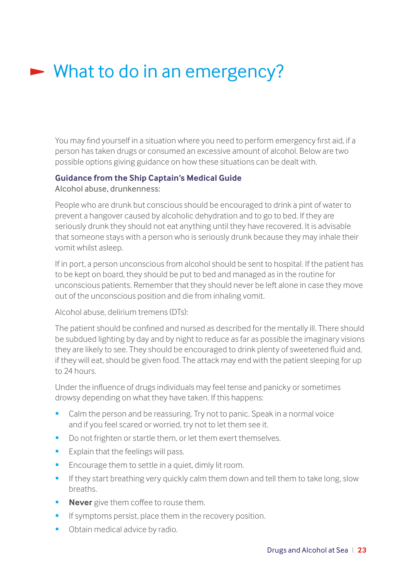## <span id="page-24-0"></span>► What to do in an emergency?

You may find yourself in a situation where you need to perform emergency first aid, if a person has taken drugs or consumed an excessive amount of alcohol. Below are two possible options giving guidance on how these situations can be dealt with.

### **Guidance from the Ship Captain's Medical Guide**

Alcohol abuse, drunkenness:

People who are drunk but conscious should be encouraged to drink a pint of water to prevent a hangover caused by alcoholic dehydration and to go to bed. If they are seriously drunk they should not eat anything until they have recovered. It is advisable that someone stays with a person who is seriously drunk because they may inhale their vomit whilst asleep.

If in port, a person unconscious from alcohol should be sent to hospital. If the patient has to be kept on board, they should be put to bed and managed as in the routine for unconscious patients. Remember that they should never be left alone in case they move out of the unconscious position and die from inhaling vomit.

Alcohol abuse, delirium tremens (DTs):

The patient should be confined and nursed as described for the mentally ill. There should be subdued lighting by day and by night to reduce as far as possible the imaginary visions they are likely to see. They should be encouraged to drink plenty of sweetened fluid and, if they will eat, should be given food. The attack may end with the patient sleeping for up to 24 hours.

Under the influence of drugs individuals may feel tense and panicky or sometimes drowsy depending on what they have taken. If this happens:

- Calm the person and be reassuring. Try not to panic. Speak in a normal voice and if you feel scared or worried, try not to let them see it.
- Do not frighten or startle them, or let them exert themselves.
- **Explain that the feelings will pass.**
- **Encourage them to settle in a quiet, dimly lit room.**
- **If they start breathing very quickly calm them down and tell them to take long, slow** breaths.
- **Never** give them coffee to rouse them.
- **If symptoms persist, place them in the recovery position.**
- **Obtain medical advice by radio.**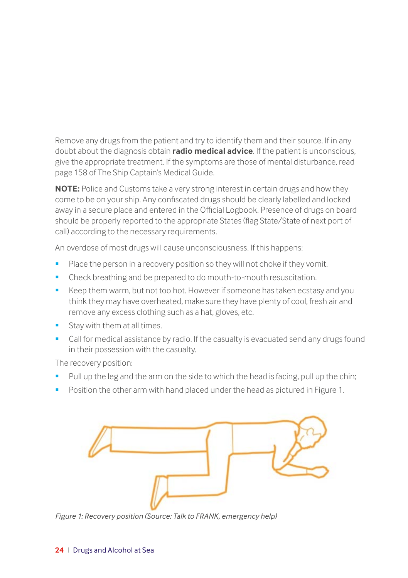Remove any drugs from the patient and try to identify them and their source. If in any doubt about the diagnosis obtain **radio medical advice**. If the patient is unconscious, give the appropriate treatment. If the symptoms are those of mental disturbance, read page 158 of The Ship Captain's Medical Guide.

**NOTE:** Police and Customs take a very strong interest in certain drugs and how they come to be on your ship. Any confiscated drugs should be clearly labelled and locked away in a secure place and entered in the Official Logbook. Presence of drugs on board should be properly reported to the appropriate States (flag State/State of next port of call) according to the necessary requirements.

An overdose of most drugs will cause unconsciousness. If this happens:

- Place the person in a recovery position so they will not choke if they vomit.
- Check breathing and be prepared to do mouth-to-mouth resuscitation.
- Keep them warm, but not too hot. However if someone has taken ecstasy and you think they may have overheated, make sure they have plenty of cool, fresh air and remove any excess clothing such as a hat, gloves, etc.
- Stay with them at all times.
- **Call for medical assistance by radio. If the casualty is evacuated send any drugs found** in their possession with the casualty.

The recovery position:

- Pull up the leg and the arm on the side to which the head is facing, pull up the chin;
- Position the other arm with hand placed under the head as pictured in Figure 1.



*Figure 1: Recovery position (Source: Talk to FRANK, emergency help)*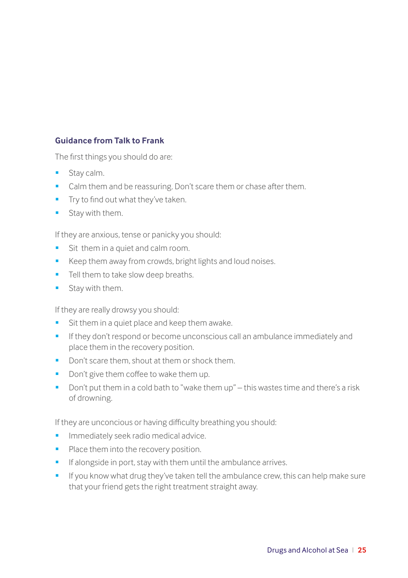### <span id="page-26-0"></span>**Guidance from Talk to Frank**

The first things you should do are:

- **Stay calm.**
- Calm them and be reassuring. Don't scare them or chase after them.
- **Try to find out what they've taken.**
- **Stay with them.**

If they are anxious, tense or panicky you should:

- Sit them in a quiet and calm room.
- Keep them away from crowds, bright lights and loud noises.
- **Tell them to take slow deep breaths.**
- **Stay with them.**

If they are really drowsy you should:

- Sit them in a quiet place and keep them awake.
- **If they don't respond or become unconscious call an ambulance immediately and** place them in the recovery position.
- Don't scare them, shout at them or shock them.
- Don't give them coffee to wake them up.
- Don't put them in a cold bath to "wake them up" this wastes time and there's a risk of drowning.

If they are unconcious or having difficulty breathing you should:

- **Immediately seek radio medical advice.**
- Place them into the recovery position.
- **If alongside in port, stay with them until the ambulance arrives.**
- **If you know what drug they've taken tell the ambulance crew, this can help make sure** that your friend gets the right treatment straight away.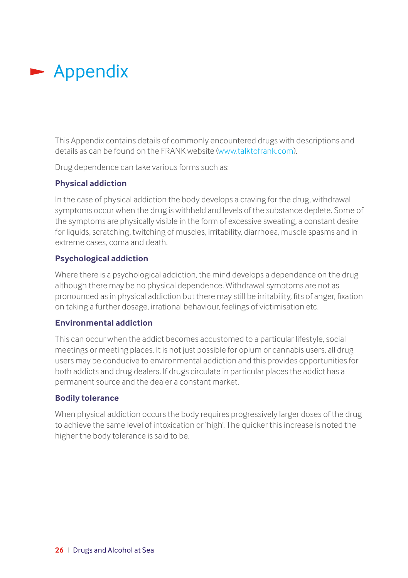## <span id="page-27-0"></span>**-** Appendix

This Appendix contains details of commonly encountered drugs with descriptions and details as can be found on the FRANK website ([www.talktofrank.com](http://www.talktofrank.com)).

Drug dependence can take various forms such as:

### **Physical addiction**

In the case of physical addiction the body develops a craving for the drug, withdrawal symptoms occur when the drug is withheld and levels of the substance deplete. Some of the symptoms are physically visible in the form of excessive sweating, a constant desire for liquids, scratching, twitching of muscles, irritability, diarrhoea, muscle spasms and in extreme cases, coma and death.

### **Psychological addiction**

Where there is a psychological addiction, the mind develops a dependence on the drug although there may be no physical dependence. Withdrawal symptoms are not as pronounced as in physical addiction but there may still be irritability, fits of anger, fixation on taking a further dosage, irrational behaviour, feelings of victimisation etc.

### **Environmental addiction**

This can occur when the addict becomes accustomed to a particular lifestyle, social meetings or meeting places. It is not just possible for opium or cannabis users, all drug users may be conducive to environmental addiction and this provides opportunities for both addicts and drug dealers. If drugs circulate in particular places the addict has a permanent source and the dealer a constant market.

### **Bodily tolerance**

When physical addiction occurs the body requires progressively larger doses of the drug to achieve the same level of intoxication or 'high'. The quicker this increase is noted the higher the body tolerance is said to be.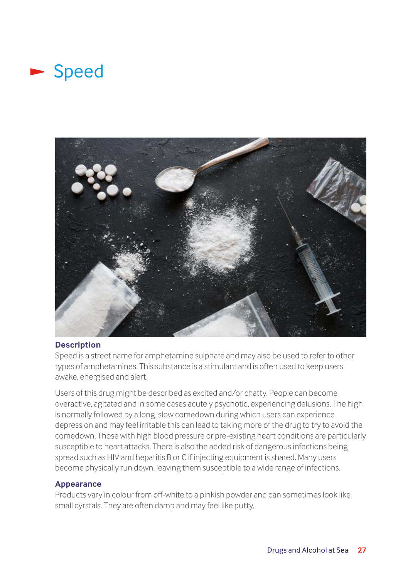### **Speed**



### **Description**

Speed is a street name for amphetamine sulphate and may also be used to refer to other types of amphetamines. This substance is a stimulant and is often used to keep users awake, energised and alert.

Users of this drug might be described as excited and/or chatty. People can become overactive, agitated and in some cases acutely psychotic, experiencing delusions. The high is normally followed by a long, slow comedown during which users can experience depression and may feel irritable this can lead to taking more of the drug to try to avoid the comedown. Those with high blood pressure or pre-existing heart conditions are particularly susceptible to heart attacks. There is also the added risk of dangerous infections being spread such as HIV and hepatitis B or C if injecting equipment is shared. Many users become physically run down, leaving them susceptible to a wide range of infections.

### **Appearance**

Products vary in colour from off-white to a pinkish powder and can sometimes look like small cyrstals. They are often damp and may feel like putty.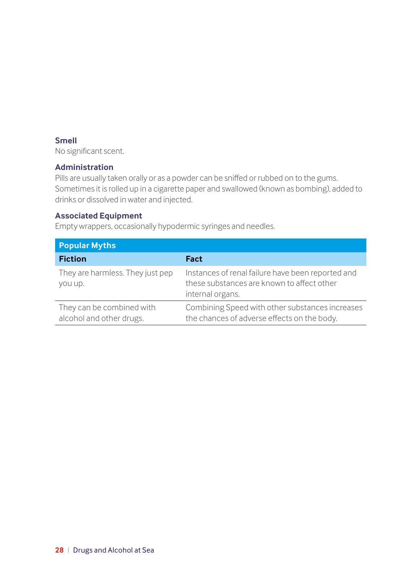### <span id="page-29-0"></span>**Smell**

No significant scent.

### **Administration**

Pills are usually taken orally or as a powder can be sniffed or rubbed on to the gums. Sometimes it is rolled up in a cigarette paper and swallowed (known as bombing), added to drinks or dissolved in water and injected.

### **Associated Equipment**

Empty wrappers, occasionally hypodermic syringes and needles.

| <b>Popular Myths</b>                                  |                                                                                                                     |
|-------------------------------------------------------|---------------------------------------------------------------------------------------------------------------------|
| <b>Fiction</b>                                        | Fact                                                                                                                |
| They are harmless. They just pep<br>you up.           | Instances of renal failure have been reported and<br>these substances are known to affect other<br>internal organs. |
| They can be combined with<br>alcohol and other drugs. | Combining Speed with other substances increases<br>the chances of adverse effects on the body.                      |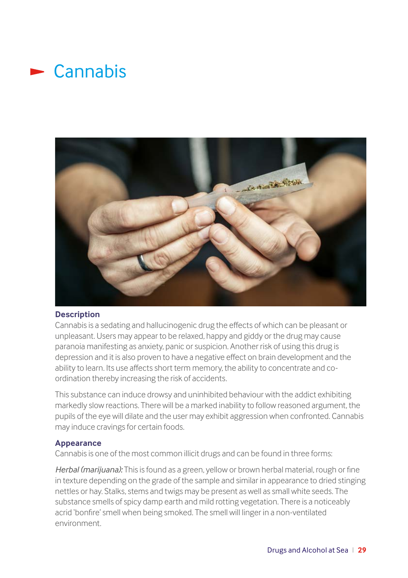### $\blacktriangleright$  Cannabis



### **Description**

Cannabis is a sedating and hallucinogenic drug the effects of which can be pleasant or unpleasant. Users may appear to be relaxed, happy and giddy or the drug may cause paranoia manifesting as anxiety, panic or suspicion. Another risk of using this drug is depression and it is also proven to have a negative effect on brain development and the ability to learn. Its use affects short term memory, the ability to concentrate and coordination thereby increasing the risk of accidents.

This substance can induce drowsy and uninhibited behaviour with the addict exhibiting markedly slow reactions. There will be a marked inability to follow reasoned argument, the pupils of the eye will dilate and the user may exhibit aggression when confronted. Cannabis may induce cravings for certain foods.

### **Appearance**

Cannabis is one of the most common illicit drugs and can be found in three forms:

*Herbal (marijuana):* This is found as a green, yellow or brown herbal material, rough or fine in texture depending on the grade of the sample and similar in appearance to dried stinging nettles or hay. Stalks, stems and twigs may be present as well as small white seeds. The substance smells of spicy damp earth and mild rotting vegetation. There is a noticeably acrid 'bonfire' smell when being smoked. The smell will linger in a non-ventilated environment.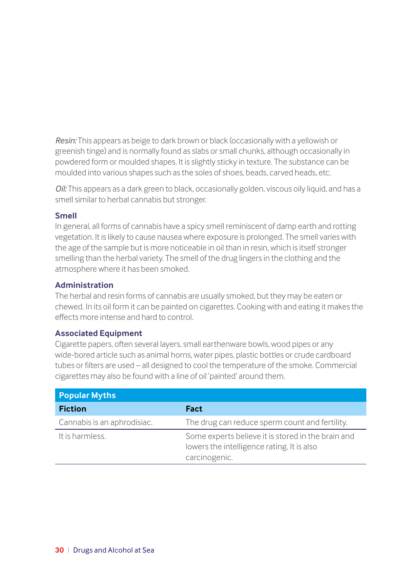*Resin:* This appears as beige to dark brown or black (occasionally with a yellowish or greenish tinge) and is normally found as slabs or small chunks, although occasionally in powdered form or moulded shapes. It is slightly sticky in texture. The substance can be moulded into various shapes such as the soles of shoes, beads, carved heads, etc.

*Oil:* This appears as a dark green to black, occasionally golden, viscous oily liquid, and has a smell similar to herbal cannabis but stronger.

### **Smell**

In general, all forms of cannabis have a spicy smell reminiscent of damp earth and rotting vegetation. It is likely to cause nausea where exposure is prolonged. The smell varies with the age of the sample but is more noticeable in oil than in resin, which is itself stronger smelling than the herbal variety. The smell of the drug lingers in the clothing and the atmosphere where it has been smoked.

### **Administration**

The herbal and resin forms of cannabis are usually smoked, but they may be eaten or chewed. In its oil form it can be painted on cigarettes. Cooking with and eating it makes the effects more intense and hard to control.

### **Associated Equipment**

Cigarette papers, often several layers, small earthenware bowls, wood pipes or any wide-bored article such as animal horns, water pipes, plastic bottles or crude cardboard tubes or filters are used – all designed to cool the temperature of the smoke. Commercial cigarettes may also be found with a line of oil 'painted' around them.

| <b>Popular Myths</b>        |                                                                                                                   |
|-----------------------------|-------------------------------------------------------------------------------------------------------------------|
| <b>Fiction</b>              | Fact                                                                                                              |
| Cannabis is an aphrodisiac. | The drug can reduce sperm count and fertility.                                                                    |
| It is harmless.             | Some experts believe it is stored in the brain and<br>lowers the intelligence rating. It is also<br>carcinogenic. |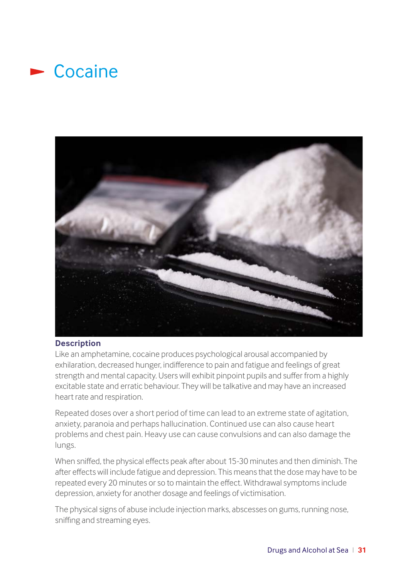### <span id="page-32-0"></span> $\blacktriangleright$  Cocaine



### **Description**

Like an amphetamine, cocaine produces psychological arousal accompanied by exhilaration, decreased hunger, indifference to pain and fatigue and feelings of great strength and mental capacity. Users will exhibit pinpoint pupils and suffer from a highly excitable state and erratic behaviour. They will be talkative and may have an increased heart rate and respiration.

Repeated doses over a short period of time can lead to an extreme state of agitation, anxiety, paranoia and perhaps hallucination. Continued use can also cause heart problems and chest pain. Heavy use can cause convulsions and can also damage the lungs.

When sniffed, the physical effects peak after about 15-30 minutes and then diminish. The after effects will include fatigue and depression. This means that the dose may have to be repeated every 20 minutes or so to maintain the effect. Withdrawal symptoms include depression, anxiety for another dosage and feelings of victimisation.

The physical signs of abuse include injection marks, abscesses on gums, running nose, sniffing and streaming eyes.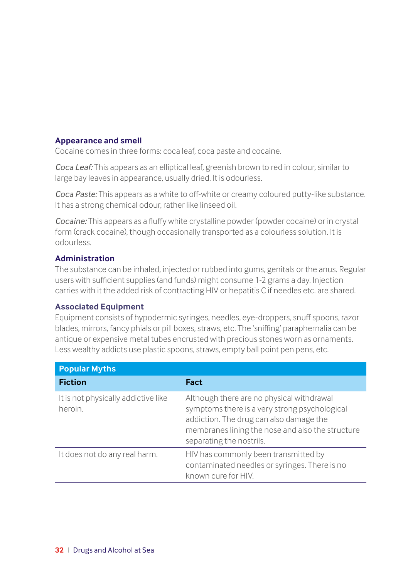### **Appearance and smell**

Cocaine comes in three forms: coca leaf, coca paste and cocaine.

*Coca Leaf:* This appears as an elliptical leaf, greenish brown to red in colour, similar to large bay leaves in appearance, usually dried. It is odourless.

*Coca Paste:* This appears as a white to off-white or creamy coloured putty-like substance. It has a strong chemical odour, rather like linseed oil.

*Cocaine:* This appears as a fluffy white crystalline powder (powder cocaine) or in crystal form (crack cocaine), though occasionally transported as a colourless solution. It is odourless.

### **Administration**

The substance can be inhaled, injected or rubbed into gums, genitals or the anus. Regular users with sufficient supplies (and funds) might consume 1-2 grams a day. Injection carries with it the added risk of contracting HIV or hepatitis C if needles etc. are shared.

### **Associated Equipment**

Equipment consists of hypodermic syringes, needles, eye-droppers, snuff spoons, razor blades, mirrors, fancy phials or pill boxes, straws, etc. The 'sniffing' paraphernalia can be antique or expensive metal tubes encrusted with precious stones worn as ornaments. Less wealthy addicts use plastic spoons, straws, empty ball point pen pens, etc.

| <b>Popular Myths</b>                           |                                                                                                                                                                                                                       |
|------------------------------------------------|-----------------------------------------------------------------------------------------------------------------------------------------------------------------------------------------------------------------------|
| <b>Fiction</b>                                 | Fact                                                                                                                                                                                                                  |
| It is not physically addictive like<br>heroin. | Although there are no physical withdrawal<br>symptoms there is a very strong psychological<br>addiction. The drug can also damage the<br>membranes lining the nose and also the structure<br>separating the nostrils. |
| It does not do any real harm.                  | HIV has commonly been transmitted by<br>contaminated needles or syringes. There is no<br>known cure for HIV.                                                                                                          |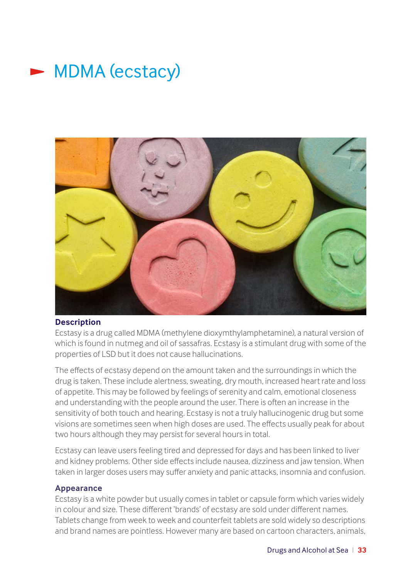<span id="page-34-0"></span>



### **Description**

Ecstasy is a drug called MDMA (methylene dioxymthylamphetamine), a natural version of which is found in nutmeg and oil of sassafras. Ecstasy is a stimulant drug with some of the properties of LSD but it does not cause hallucinations.

The effects of ecstasy depend on the amount taken and the surroundings in which the drug is taken. These include alertness, sweating, dry mouth, increased heart rate and loss of appetite. This may be followed by feelings of serenity and calm, emotional closeness and understanding with the people around the user. There is often an increase in the sensitivity of both touch and hearing. Ecstasy is not a truly hallucinogenic drug but some visions are sometimes seen when high doses are used. The effects usually peak for about two hours although they may persist for several hours in total.

Ecstasy can leave users feeling tired and depressed for days and has been linked to liver and kidney problems. Other side effects include nausea, dizziness and jaw tension. When taken in larger doses users may suffer anxiety and panic attacks, insomnia and confusion.

### **Appearance**

Ecstasy is a white powder but usually comes in tablet or capsule form which varies widely in colour and size. These different 'brands' of ecstasy are sold under different names. Tablets change from week to week and counterfeit tablets are sold widely so descriptions and brand names are pointless. However many are based on cartoon characters, animals,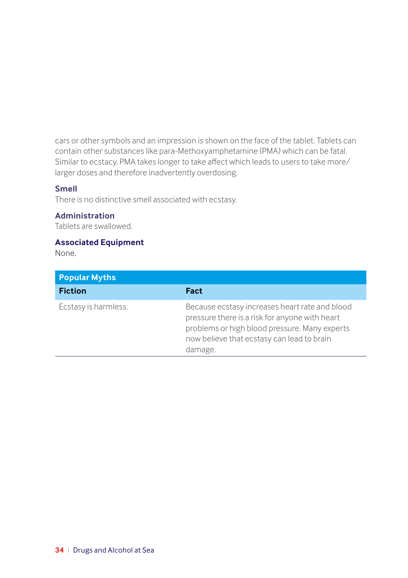<span id="page-35-0"></span>cars or other symbols and an impression is shown on the face of the tablet. Tablets can contain other substances like para-Methoxyamphetamine (PMA) which can be fatal. Similar to ecstacy, PMA takes longer to take affect which leads to users to take more/ larger doses and therefore inadvertently overdosing.

### **Smell**

There is no distinctive smell associated with ecstasy.

### **Administration**

Tablets are swallowed.

### **Associated Equipment**

None.

| <b>Popular Myths</b> |                                                                                                                                                                                                            |
|----------------------|------------------------------------------------------------------------------------------------------------------------------------------------------------------------------------------------------------|
| <b>Fiction</b>       | Fact                                                                                                                                                                                                       |
| Ecstasy is harmless. | Because ecstasy increases heart rate and blood<br>pressure there is a risk for anyone with heart<br>problems or high blood pressure. Many experts<br>now believe that ecstasy can lead to brain<br>damage. |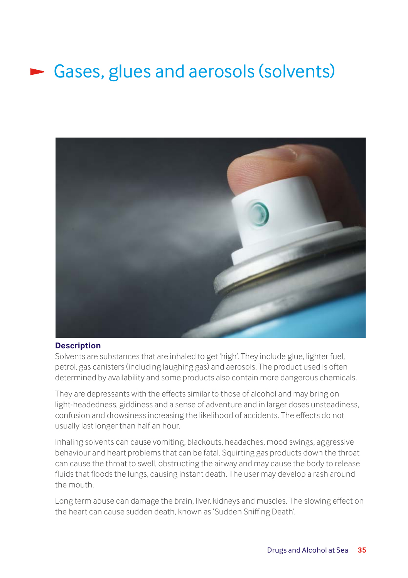# Gases, glues and aerosols (solvents)



### **Description**

Solvents are substances that are inhaled to get 'high'. They include glue, lighter fuel, petrol, gas canisters (including laughing gas) and aerosols. The product used is often determined by availability and some products also contain more dangerous chemicals.

They are depressants with the effects similar to those of alcohol and may bring on light-headedness, giddiness and a sense of adventure and in larger doses unsteadiness, confusion and drowsiness increasing the likelihood of accidents. The effects do not usually last longer than half an hour.

Inhaling solvents can cause vomiting, blackouts, headaches, mood swings, aggressive behaviour and heart problems that can be fatal. Squirting gas products down the throat can cause the throat to swell, obstructing the airway and may cause the body to release fluids that floods the lungs, causing instant death. The user may develop a rash around the mouth.

Long term abuse can damage the brain, liver, kidneys and muscles. The slowing effect on the heart can cause sudden death, known as 'Sudden Sniffing Death'.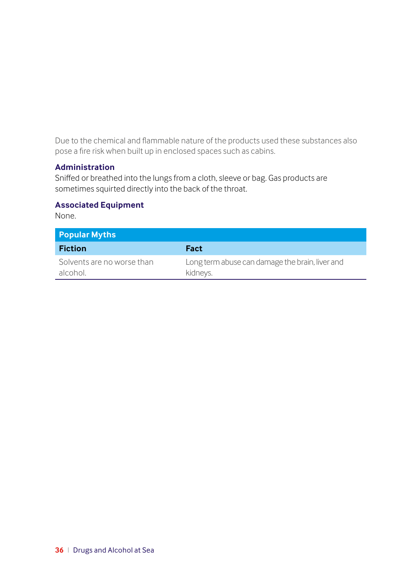<span id="page-37-0"></span>Due to the chemical and flammable nature of the products used these substances also pose a fire risk when built up in enclosed spaces such as cabins.

### **Administration**

Sniffed or breathed into the lungs from a cloth, sleeve or bag. Gas products are sometimes squirted directly into the back of the throat.

### **Associated Equipment**

None.

| <b>Popular Myths</b>                   |                                                             |
|----------------------------------------|-------------------------------------------------------------|
| <b>Fiction</b>                         | Fact                                                        |
| Solvents are no worse than<br>alcohol. | Long term abuse can damage the brain, liver and<br>kidneys. |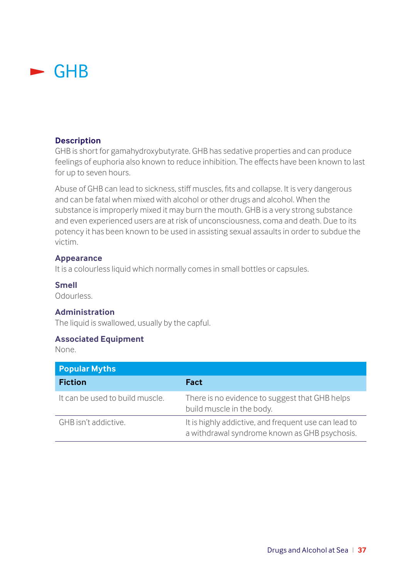### <span id="page-38-0"></span> $\blacktriangleright$  GHB

### **Description**

GHB is short for gamahydroxybutyrate. GHB has sedative properties and can produce feelings of euphoria also known to reduce inhibition. The effects have been known to last for up to seven hours.

Abuse of GHB can lead to sickness, stiff muscles, fits and collapse. It is very dangerous and can be fatal when mixed with alcohol or other drugs and alcohol. When the substance is improperly mixed it may burn the mouth. GHB is a very strong substance and even experienced users are at risk of unconsciousness, coma and death. Due to its potency it has been known to be used in assisting sexual assaults in order to subdue the victim.

### **Appearance**

It is a colourless liquid which normally comes in small bottles or capsules.

### **Smell**

Odourless.

### **Administration**

The liquid is swallowed, usually by the capful.

### **Associated Equipment**

None.

| <b>Popular Myths</b>            |                                                                                                       |
|---------------------------------|-------------------------------------------------------------------------------------------------------|
| <b>Fiction</b>                  | Fact                                                                                                  |
| It can be used to build muscle. | There is no evidence to suggest that GHB helps<br>build muscle in the body.                           |
| GHB isn't addictive.            | It is highly addictive, and frequent use can lead to<br>a withdrawal syndrome known as GHB psychosis. |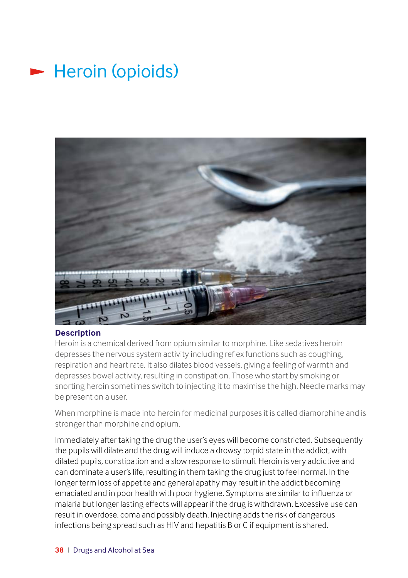## <span id="page-39-0"></span> $\blacktriangleright$  Heroin (opioids)



### **Description**

Heroin is a chemical derived from opium similar to morphine. Like sedatives heroin depresses the nervous system activity including reflex functions such as coughing, respiration and heart rate. It also dilates blood vessels, giving a feeling of warmth and depresses bowel activity, resulting in constipation. Those who start by smoking or snorting heroin sometimes switch to injecting it to maximise the high. Needle marks may be present on a user.

When morphine is made into heroin for medicinal purposes it is called diamorphine and is stronger than morphine and opium.

Immediately after taking the drug the user's eyes will become constricted. Subsequently the pupils will dilate and the drug will induce a drowsy torpid state in the addict, with dilated pupils, constipation and a slow response to stimuli. Heroin is very addictive and can dominate a user's life, resulting in them taking the drug just to feel normal. In the longer term loss of appetite and general apathy may result in the addict becoming emaciated and in poor health with poor hygiene. Symptoms are similar to influenza or malaria but longer lasting effects will appear if the drug is withdrawn. Excessive use can result in overdose, coma and possibly death. Injecting adds the risk of dangerous infections being spread such as HIV and hepatitis B or C if equipment is shared.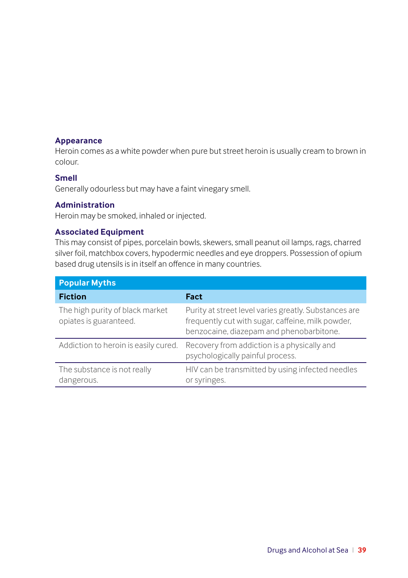### <span id="page-40-0"></span>**Appearance**

Heroin comes as a white powder when pure but street heroin is usually cream to brown in colour.

### **Smell**

Generally odourless but may have a faint vinegary smell.

### **Administration**

Heroin may be smoked, inhaled or injected.

### **Associated Equipment**

This may consist of pipes, porcelain bowls, skewers, small peanut oil lamps, rags, charred silver foil, matchbox covers, hypodermic needles and eye droppers. Possession of opium based drug utensils is in itself an offence in many countries.

| <b>Popular Myths</b>                                      |                                                                                                                                                        |
|-----------------------------------------------------------|--------------------------------------------------------------------------------------------------------------------------------------------------------|
| <b>Fiction</b>                                            | Fact                                                                                                                                                   |
| The high purity of black market<br>opiates is guaranteed. | Purity at street level varies greatly. Substances are<br>frequently cut with sugar, caffeine, milk powder,<br>benzocaine, diazepam and phenobarbitone. |
| Addiction to heroin is easily cured.                      | Recovery from addiction is a physically and<br>psychologically painful process.                                                                        |
| The substance is not really<br>dangerous.                 | HIV can be transmitted by using infected needles<br>or syringes.                                                                                       |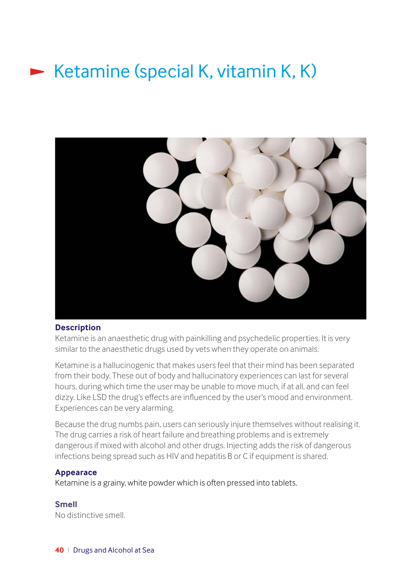## Ketamine (special K, vitamin K, K)



#### **Description**

Ketamine is an anaesthetic drug with painkilling and psychedelic properties. It is very similar to the anaesthetic drugs used by vets when they operate on animals.

Ketamine is a hallucinogenic that makes users feel that their mind has been separated from their body. These out of body and hallucinatory experiences can last for several hours, during which time the user may be unable to move much, if at all, and can feel dizzy. Like LSD the drug's effects are influenced by the user's mood and environment. Experiences can be very alarming.

Because the drug numbs pain, users can seriously injure themselves without realising it. The drug carries a risk of heart failure and breathing problems and is extremely dangerous if mixed with alcohol and other drugs. Injecting adds the risk of dangerous infections being spread such as HIV and hepatitis B or C if equipment is shared.

#### **Appearace**

Ketamine is a grainy, white powder which is often pressed into tablets.

### **Smell**

No distinctive smell.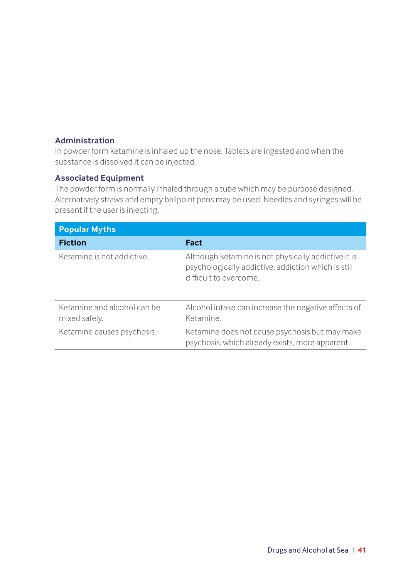### **Administration**

In powder form ketamine is inhaled up the nose. Tablets are ingested and when the substance is dissolved it can be injected.

### **Associated Equipment**

The powder form is normally inhaled through a tube which may be purpose designed. Alternatively straws and empty ballpoint pens may be used. Needles and syringes will be present if the user is injecting.

| <b>Popular Myths</b>                         |                                                                                                                                      |
|----------------------------------------------|--------------------------------------------------------------------------------------------------------------------------------------|
| <b>Fiction</b>                               | Fact                                                                                                                                 |
| Ketamine is not addictive.                   | Although ketamine is not physically addictive it is<br>psychologically addictive; addiction which is still<br>difficult to overcome. |
| Ketamine and alcohol can be<br>mixed safely. | Alcohol intake can increase the negative affects of<br>Ketamine.                                                                     |
| Ketamine causes psychosis.                   | Ketamine does not cause psychosis but may make<br>psychosis, which already exists, more apparent.                                    |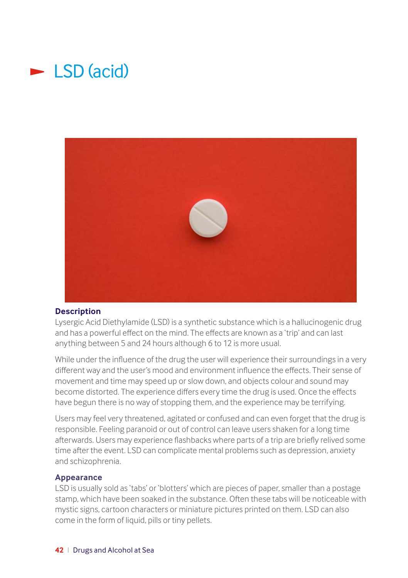## $\blacktriangleright$  LSD (acid)



### **Description**

Lysergic Acid Diethylamide (LSD) is a synthetic substance which is a hallucinogenic drug and has a powerful effect on the mind. The effects are known as a 'trip' and can last anything between 5 and 24 hours although 6 to 12 is more usual.

While under the influence of the drug the user will experience their surroundings in a very different way and the user's mood and environment influence the effects. Their sense of movement and time may speed up or slow down, and objects colour and sound may become distorted. The experience differs every time the drug is used. Once the effects have begun there is no way of stopping them, and the experience may be terrifying.

Users may feel very threatened, agitated or confused and can even forget that the drug is responsible. Feeling paranoid or out of control can leave users shaken for a long time afterwards. Users may experience flashbacks where parts of a trip are briefly relived some time after the event. LSD can complicate mental problems such as depression, anxiety and schizophrenia.

### **Appearance**

LSD is usually sold as 'tabs' or 'blotters' which are pieces of paper, smaller than a postage stamp, which have been soaked in the substance. Often these tabs will be noticeable with mystic signs, cartoon characters or miniature pictures printed on them. LSD can also come in the form of liquid, pills or tiny pellets.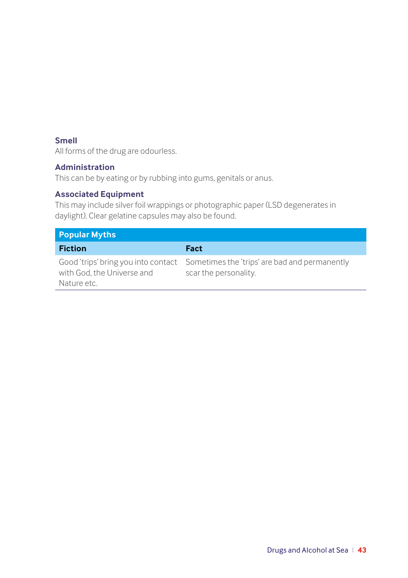### **Smell**

All forms of the drug are odourless.

### **Administration**

This can be by eating or by rubbing into gums, genitals or anus.

### **Associated Equipment**

This may include silver foil wrappings or photographic paper (LSD degenerates in daylight). Clear gelatine capsules may also be found.

| <b>Popular Myths</b>                      |                                                                                                            |
|-------------------------------------------|------------------------------------------------------------------------------------------------------------|
| <b>Fiction</b>                            | Fact                                                                                                       |
| with God, the Universe and<br>Nature etc. | Good 'trips' bring you into contact Sometimes the 'trips' are bad and permanently<br>scar the personality. |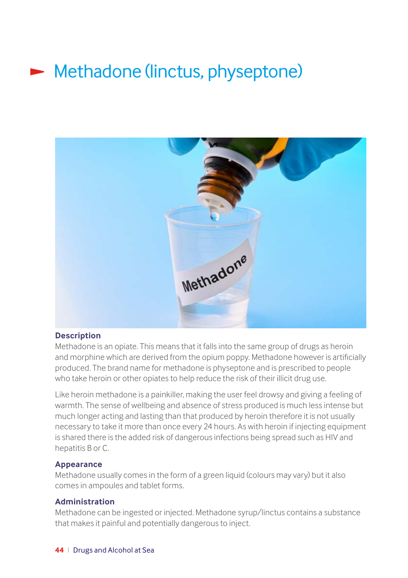# **Methadone (linctus, physeptone)**



### **Description**

Methadone is an opiate. This means that it falls into the same group of drugs as heroin and morphine which are derived from the opium poppy. Methadone however is artificially produced. The brand name for methadone is physeptone and is prescribed to people who take heroin or other opiates to help reduce the risk of their illicit drug use.

Like heroin methadone is a painkiller, making the user feel drowsy and giving a feeling of warmth. The sense of wellbeing and absence of stress produced is much less intense but much longer acting and lasting than that produced by heroin therefore it is not usually necessary to take it more than once every 24 hours. As with heroin if injecting equipment is shared there is the added risk of dangerous infections being spread such as HIV and hepatitis B or C.

### **Appearance**

Methadone usually comes in the form of a green liquid (colours may vary) but it also comes in ampoules and tablet forms.

### **Administration**

Methadone can be ingested or injected. Methadone syrup/linctus contains a substance that makes it painful and potentially dangerous to inject.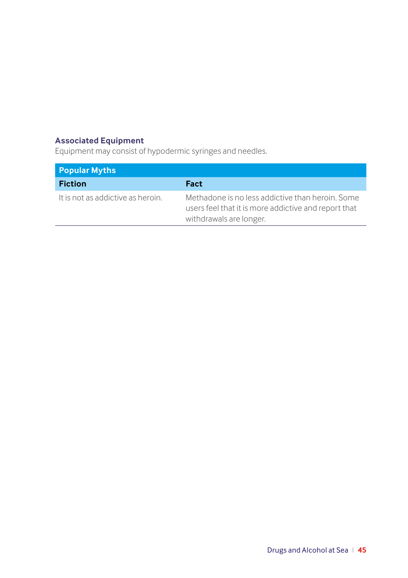### **Associated Equipment**

Equipment may consist of hypodermic syringes and needles.

| <b>Popular Myths</b>              |                                                                                                                                     |
|-----------------------------------|-------------------------------------------------------------------------------------------------------------------------------------|
| <b>Fiction</b>                    | Fact                                                                                                                                |
| It is not as addictive as heroin. | Methadone is no less addictive than heroin. Some<br>users feel that it is more addictive and report that<br>withdrawals are longer. |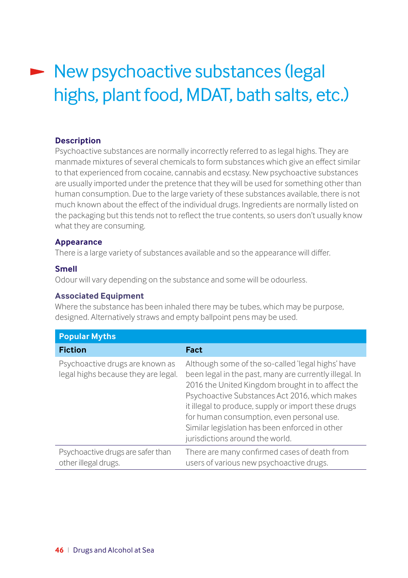# New psychoactive substances (legal highs, plant food, MDAT, bath salts, etc.)

### **Description**

Psychoactive substances are normally incorrectly referred to as legal highs. They are manmade mixtures of several chemicals to form substances which give an effect similar to that experienced from cocaine, cannabis and ecstasy. New psychoactive substances are usually imported under the pretence that they will be used for something other than human consumption. Due to the large variety of these substances available, there is not much known about the effect of the individual drugs. Ingredients are normally listed on the packaging but this tends not to reflect the true contents, so users don't usually know what they are consuming.

### **Appearance**

There is a large variety of substances available and so the appearance will differ.

### **Smell**

Odour will vary depending on the substance and some will be odourless.

### **Associated Equipment**

Where the substance has been inhaled there may be tubes, which may be purpose, designed. Alternatively straws and empty ballpoint pens may be used.

| <b>Popular Myths</b>                                                   |                                                                                                                                                                                                                                                                                                                                                                                                           |
|------------------------------------------------------------------------|-----------------------------------------------------------------------------------------------------------------------------------------------------------------------------------------------------------------------------------------------------------------------------------------------------------------------------------------------------------------------------------------------------------|
| <b>Fiction</b>                                                         | <b>Fact</b>                                                                                                                                                                                                                                                                                                                                                                                               |
| Psychoactive drugs are known as<br>legal highs because they are legal. | Although some of the so-called 'legal highs' have<br>been legal in the past, many are currently illegal. In<br>2016 the United Kingdom brought in to affect the<br>Psychoactive Substances Act 2016, which makes<br>it illegal to produce, supply or import these drugs<br>for human consumption, even personal use.<br>Similar legislation has been enforced in other<br>jurisdictions around the world. |
| Psychoactive drugs are safer than<br>other illegal drugs.              | There are many confirmed cases of death from<br>users of various new psychoactive drugs.                                                                                                                                                                                                                                                                                                                  |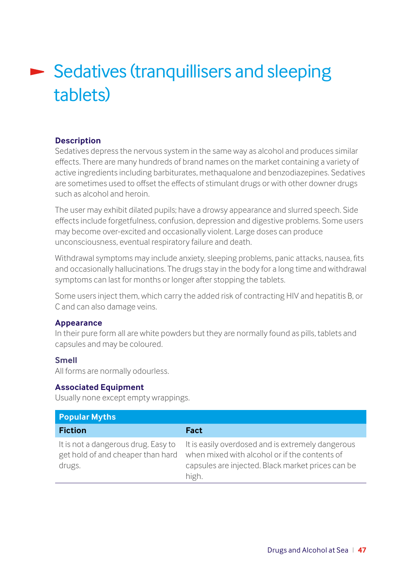# **Sedatives (tranquillisers and sleeping** tablets)

### **Description**

Sedatives depress the nervous system in the same way as alcohol and produces similar effects. There are many hundreds of brand names on the market containing a variety of active ingredients including barbiturates, methaqualone and benzodiazepines. Sedatives are sometimes used to offset the effects of stimulant drugs or with other downer drugs such as alcohol and heroin.

The user may exhibit dilated pupils; have a drowsy appearance and slurred speech. Side effects include forgetfulness, confusion, depression and digestive problems. Some users may become over-excited and occasionally violent. Large doses can produce unconsciousness, eventual respiratory failure and death.

Withdrawal symptoms may include anxiety, sleeping problems, panic attacks, nausea, fits and occasionally hallucinations. The drugs stay in the body for a long time and withdrawal symptoms can last for months or longer after stopping the tablets.

Some users inject them, which carry the added risk of contracting HIV and hepatitis B, or C and can also damage veins.

### **Appearance**

In their pure form all are white powders but they are normally found as pills, tablets and capsules and may be coloured.

### **Smell**

All forms are normally odourless.

### **Associated Equipment**

Usually none except empty wrappings.

| <b>Popular Myths</b>                                                               |                                                                                                                                                                  |
|------------------------------------------------------------------------------------|------------------------------------------------------------------------------------------------------------------------------------------------------------------|
| <b>Fiction</b>                                                                     | Fact                                                                                                                                                             |
| It is not a dangerous drug. Easy to<br>get hold of and cheaper than hard<br>drugs. | It is easily overdosed and is extremely dangerous<br>when mixed with alcohol or if the contents of<br>capsules are injected. Black market prices can be<br>high. |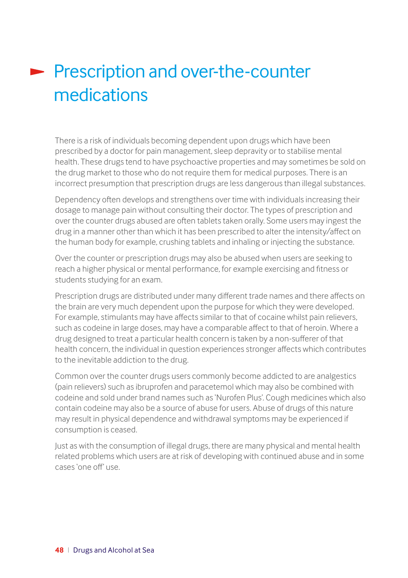## Prescription and over-the-counter medications

There is a risk of individuals becoming dependent upon drugs which have been prescribed by a doctor for pain management, sleep depravity or to stabilise mental health. These drugs tend to have psychoactive properties and may sometimes be sold on the drug market to those who do not require them for medical purposes. There is an incorrect presumption that prescription drugs are less dangerous than illegal substances.

Dependency often develops and strengthens over time with individuals increasing their dosage to manage pain without consulting their doctor. The types of prescription and over the counter drugs abused are often tablets taken orally. Some users may ingest the drug in a manner other than which it has been prescribed to alter the intensity/affect on the human body for example, crushing tablets and inhaling or injecting the substance.

Over the counter or prescription drugs may also be abused when users are seeking to reach a higher physical or mental performance, for example exercising and fitness or students studying for an exam.

Prescription drugs are distributed under many different trade names and there affects on the brain are very much dependent upon the purpose for which they were developed. For example, stimulants may have affects similar to that of cocaine whilst pain relievers, such as codeine in large doses, may have a comparable affect to that of heroin. Where a drug designed to treat a particular health concern is taken by a non-sufferer of that health concern, the individual in question experiences stronger affects which contributes to the inevitable addiction to the drug.

Common over the counter drugs users commonly become addicted to are analgestics (pain relievers) such as ibruprofen and paracetemol which may also be combined with codeine and sold under brand names such as 'Nurofen Plus'. Cough medicines which also contain codeine may also be a source of abuse for users. Abuse of drugs of this nature may result in physical dependence and withdrawal symptoms may be experienced if consumption is ceased.

Just as with the consumption of illegal drugs, there are many physical and mental health related problems which users are at risk of developing with continued abuse and in some cases 'one off' use.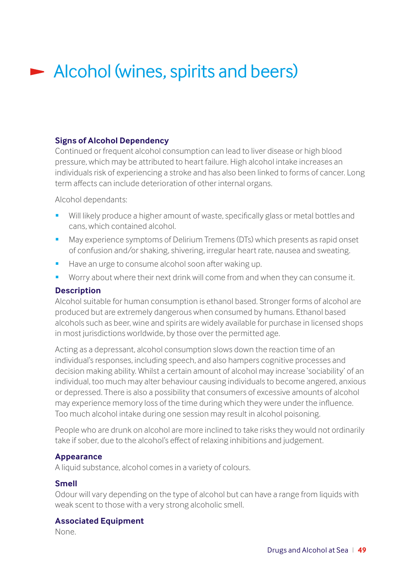## Alcohol (wines, spirits and beers)

### **Signs of Alcohol Dependency**

Continued or frequent alcohol consumption can lead to liver disease or high blood pressure, which may be attributed to heart failure. High alcohol intake increases an individuals risk of experiencing a stroke and has also been linked to forms of cancer. Long term affects can include deterioration of other internal organs.

Alcohol dependants:

- Will likely produce a higher amount of waste, specifically glass or metal bottles and cans, which contained alcohol.
- May experience symptoms of Delirium Tremens (DTs) which presents as rapid onset of confusion and/or shaking, shivering, irregular heart rate, nausea and sweating.
- Have an urge to consume alcohol soon after waking up.
- Worry about where their next drink will come from and when they can consume it.

### **Description**

Alcohol suitable for human consumption is ethanol based. Stronger forms of alcohol are produced but are extremely dangerous when consumed by humans. Ethanol based alcohols such as beer, wine and spirits are widely available for purchase in licensed shops in most jurisdictions worldwide, by those over the permitted age.

Acting as a depressant, alcohol consumption slows down the reaction time of an individual's responses, including speech, and also hampers cognitive processes and decision making ability. Whilst a certain amount of alcohol may increase 'sociability' of an individual, too much may alter behaviour causing individuals to become angered, anxious or depressed. There is also a possibility that consumers of excessive amounts of alcohol may experience memory loss of the time during which they were under the influence. Too much alcohol intake during one session may result in alcohol poisoning.

People who are drunk on alcohol are more inclined to take risks they would not ordinarily take if sober, due to the alcohol's effect of relaxing inhibitions and judgement.

### **Appearance**

A liquid substance, alcohol comes in a variety of colours.

### **Smell**

Odour will vary depending on the type of alcohol but can have a range from liquids with weak scent to those with a very strong alcoholic smell.

### **Associated Equipment**

None.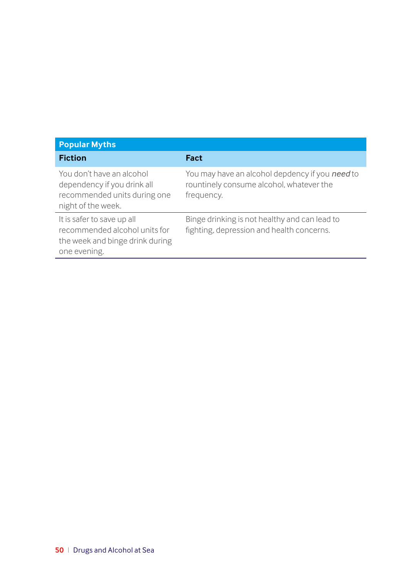| <b>Popular Myths</b>                                                                                           |                                                                                                           |
|----------------------------------------------------------------------------------------------------------------|-----------------------------------------------------------------------------------------------------------|
| <b>Fiction</b>                                                                                                 | Fact                                                                                                      |
| You don't have an alcohol<br>dependency if you drink all<br>recommended units during one<br>night of the week. | You may have an alcohol depdency if you need to<br>rountinely consume alcohol, whatever the<br>frequency. |
| It is safer to save up all<br>recommended alcohol units for<br>the week and binge drink during<br>one evening. | Binge drinking is not healthy and can lead to<br>fighting, depression and health concerns.                |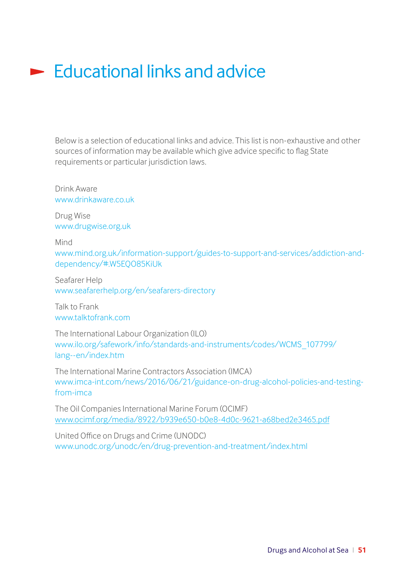### $\blacktriangleright$  Educational links and advice

Below is a selection of educational links and advice. This list is non-exhaustive and other sources of information may be available which give advice specific to flag State requirements or particular jurisdiction laws.

Drink Aware [www.drinkaware.co.uk](http://www.drinkaware.co.uk)

Drug Wise [www.drugwise.org.uk](http://www.drugwise.org.uk)

Mind

[www.mind.org.uk/information-support/guides-to-support-and-services/addiction-and](http://www.mind.org.uk/information-support/guides-to-support-and-services/addiction-and-dependency/#.W5EQO8)[dependency/#.W5EQO85KiUk](http://www.mind.org.uk/information-support/guides-to-support-and-services/addiction-and-dependency/#.W5EQO8) 

Seafarer Help [www.seafarerhelp.org/en/seafarers-directory](http://www.seafarerhelp.org/en/seafarers-directory )

Talk to Frank [www.talktofrank.com](http://www.talktofrank.com)

The International Labour Organization (ILO) [www.ilo.org/safework/info/standards-and-instruments/codes/WCMS\\_107799/](http://www.ilo.org/safework/info/standards-and-instruments/codes/WCMS_107799/lang--en/index.htm) [lang--en/index.htm](http://www.ilo.org/safework/info/standards-and-instruments/codes/WCMS_107799/lang--en/index.htm)

The International Marine Contractors Association (IMCA) [www.imca-int.com/news/2016/06/21/guidance-on-drug-alcohol-policies-and-testing](http://www.imca-int.com/news/2016/06/21/guidance-on-drug-alcohol-policies-and-testing-from-imca)[from-imca](http://www.imca-int.com/news/2016/06/21/guidance-on-drug-alcohol-policies-and-testing-from-imca)

The Oil Companies International Marine Forum (OCIMF) [www.ocimf.org/media/8922/b939e650-b0e8-4d0c-9621-a68bed2e3465.pdf](http://www.ocimf.org/media/8922/b939e650-b0e8-4d0c-9621-a68bed2e3465.pdf )

United Office on Drugs and Crime (UNODC) [www.unodc.org/unodc/en/drug-prevention-and-treatment/index.html](http://www.unodc.org/unodc/en/drug-prevention-and-treatment/index.html )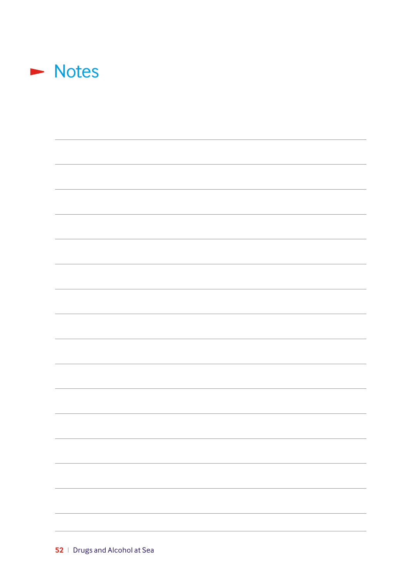